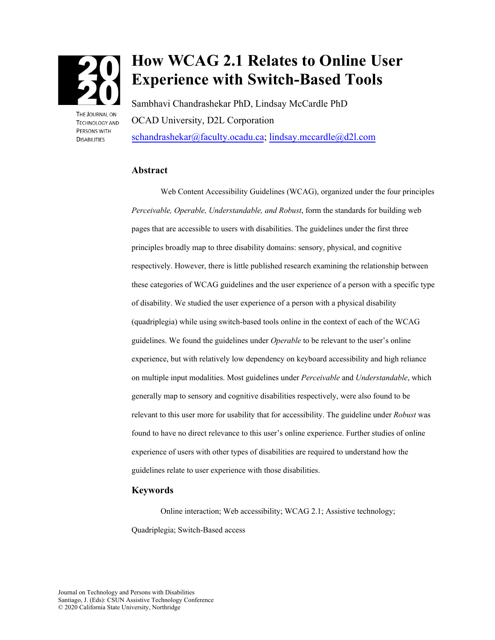

THE IOURNAL ON **TECHNOLOGY AND PERSONS WITH DISABILITIES** 

# **How WCAG 2.1 Relates to Online User Experience with Switch-Based Tools**

Sambhavi Chandrashekar PhD, Lindsay McCardle PhD OCAD University, D2L Corporation [schandrashekar@faculty.ocadu.ca;](mailto:schandrashekar@faculty.ocadu.ca) [lindsay.mccardle@d2l.com](mailto:lindsay.mccardle@d2l.com)

#### **Abstract**

Web Content Accessibility Guidelines (WCAG), organized under the four principles *Perceivable, Operable, Understandable, and Robust*, form the standards for building web pages that are accessible to users with disabilities. The guidelines under the first three principles broadly map to three disability domains: sensory, physical, and cognitive respectively. However, there is little published research examining the relationship between these categories of WCAG guidelines and the user experience of a person with a specific type of disability. We studied the user experience of a person with a physical disability (quadriplegia) while using switch-based tools online in the context of each of the WCAG guidelines. We found the guidelines under *Operable* to be relevant to the user's online experience, but with relatively low dependency on keyboard accessibility and high reliance on multiple input modalities. Most guidelines under *Perceivable* and *Understandable*, which generally map to sensory and cognitive disabilities respectively, were also found to be relevant to this user more for usability that for accessibility. The guideline under *Robust* was found to have no direct relevance to this user's online experience. Further studies of online experience of users with other types of disabilities are required to understand how the guidelines relate to user experience with those disabilities.

#### **Keywords**

Online interaction; Web accessibility; WCAG 2.1; Assistive technology; Quadriplegia; Switch-Based access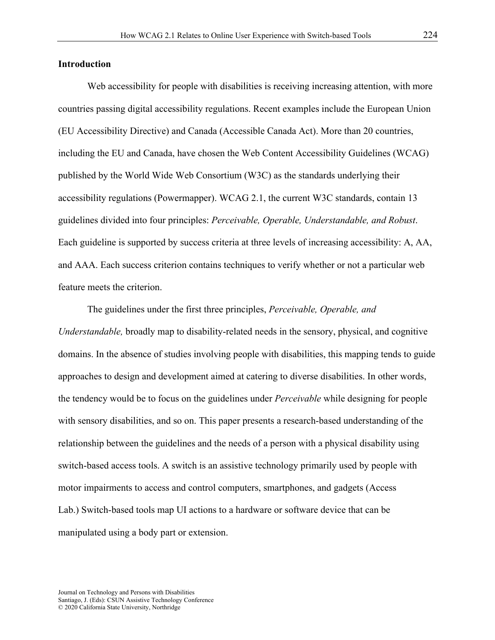## **Introduction**

Web accessibility for people with disabilities is receiving increasing attention, with more countries passing digital accessibility regulations. Recent examples include the European Union (EU Accessibility Directive) and Canada (Accessible Canada Act). More than 20 countries, including the EU and Canada, have chosen the Web Content Accessibility Guidelines (WCAG) published by the World Wide Web Consortium (W3C) as the standards underlying their accessibility regulations (Powermapper). WCAG 2.1, the current W3C standards, contain 13 guidelines divided into four principles: *Perceivable, Operable, Understandable, and Robust*. Each guideline is supported by success criteria at three levels of increasing accessibility: A, AA, and AAA. Each success criterion contains techniques to verify whether or not a particular web feature meets the criterion.

The guidelines under the first three principles, *Perceivable, Operable, and Understandable,* broadly map to disability-related needs in the sensory, physical, and cognitive domains. In the absence of studies involving people with disabilities, this mapping tends to guide approaches to design and development aimed at catering to diverse disabilities. In other words, the tendency would be to focus on the guidelines under *Perceivable* while designing for people with sensory disabilities, and so on. This paper presents a research-based understanding of the relationship between the guidelines and the needs of a person with a physical disability using switch-based access tools. A switch is an assistive technology primarily used by people with motor impairments to access and control computers, smartphones, and gadgets (Access Lab.) Switch-based tools map UI actions to a hardware or software device that can be manipulated using a body part or extension.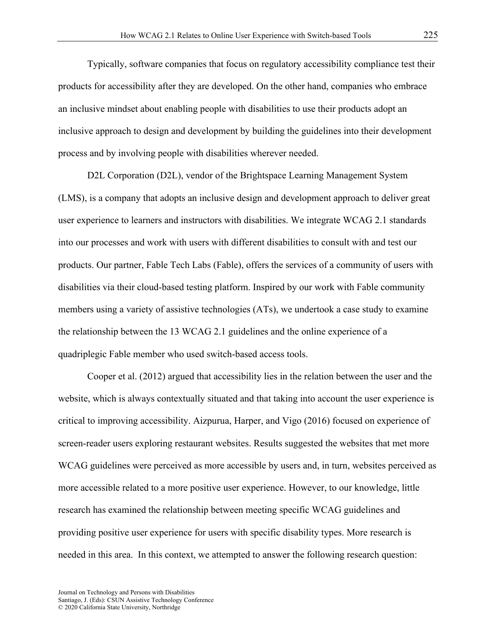Typically, software companies that focus on regulatory accessibility compliance test their products for accessibility after they are developed. On the other hand, companies who embrace an inclusive mindset about enabling people with disabilities to use their products adopt an inclusive approach to design and development by building the guidelines into their development process and by involving people with disabilities wherever needed.

D2L Corporation (D2L), vendor of the Brightspace Learning Management System (LMS), is a company that adopts an inclusive design and development approach to deliver great user experience to learners and instructors with disabilities. We integrate WCAG 2.1 standards into our processes and work with users with different disabilities to consult with and test our products. Our partner, Fable Tech Labs (Fable), offers the services of a community of users with disabilities via their cloud-based testing platform. Inspired by our work with Fable community members using a variety of assistive technologies (ATs), we undertook a case study to examine the relationship between the 13 WCAG 2.1 guidelines and the online experience of a quadriplegic Fable member who used switch-based access tools.

Cooper et al. (2012) argued that accessibility lies in the relation between the user and the website, which is always contextually situated and that taking into account the user experience is critical to improving accessibility. Aizpurua, Harper, and Vigo (2016) focused on experience of screen-reader users exploring restaurant websites. Results suggested the websites that met more WCAG guidelines were perceived as more accessible by users and, in turn, websites perceived as more accessible related to a more positive user experience. However, to our knowledge, little research has examined the relationship between meeting specific WCAG guidelines and providing positive user experience for users with specific disability types. More research is needed in this area. In this context, we attempted to answer the following research question: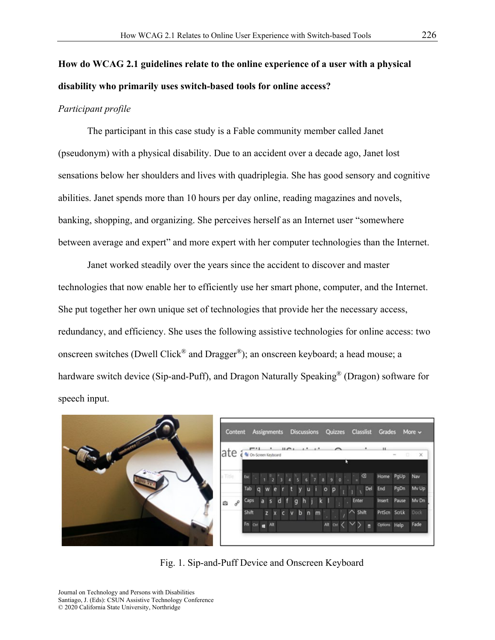# **How do WCAG 2.1 guidelines relate to the online experience of a user with a physical disability who primarily uses switch-based tools for online access?**

## *Participant profile*

The participant in this case study is a Fable community member called Janet (pseudonym) with a physical disability. Due to an accident over a decade ago, Janet lost sensations below her shoulders and lives with quadriplegia. She has good sensory and cognitive abilities. Janet spends more than 10 hours per day online, reading magazines and novels, banking, shopping, and organizing. She perceives herself as an Internet user "somewhere between average and expert" and more expert with her computer technologies than the Internet.

Janet worked steadily over the years since the accident to discover and master technologies that now enable her to efficiently use her smart phone, computer, and the Internet. She put together her own unique set of technologies that provide her the necessary access, redundancy, and efficiency. She uses the following assistive technologies for online access: two onscreen switches (Dwell Click<sup>®</sup> and Dragger<sup>®</sup>); an onscreen keyboard; a head mouse; a hardware switch device (Sip-and-Puff), and Dragon Naturally Speaking<sup>®</sup> (Dragon) software for speech input.



|                 | ate <i>i</i> s on-screen Keyboard                                             | $\mathbf{u}$       | $\cdots$ |                |              | п            | $\Box$<br><b>Sec.</b> | $\times$ |
|-----------------|-------------------------------------------------------------------------------|--------------------|----------|----------------|--------------|--------------|-----------------------|----------|
|                 |                                                                               |                    |          | в              |              |              |                       |          |
| Title.          | Ex $1 \t2 \t3 \t4 \t5 \t6 \t7 \t8 \t9 \t0 \t$ $\textcircled{1}$ Home PgUp Nav |                    |          |                |              |              |                       |          |
|                 | Tabqwertyuiop <sub>ij</sub> Del                                               |                    |          |                |              | End PgDn     |                       | My Up    |
| $\sigma^0$<br>ŵ | Caps                                                                          | as df ghjkl. Enter |          |                |              | Insert Pause |                       | My Dn    |
|                 | Shift                                                                         | zxcvbnm            |          |                | $\sim$ Shift |              | PrtScn ScrLk Dock     |          |
|                 | Fn cat <b>E</b> Alt                                                           |                    |          | Alt an < V > m |              |              | Options Help Fade     |          |

Fig. 1. Sip-and-Puff Device and Onscreen Keyboard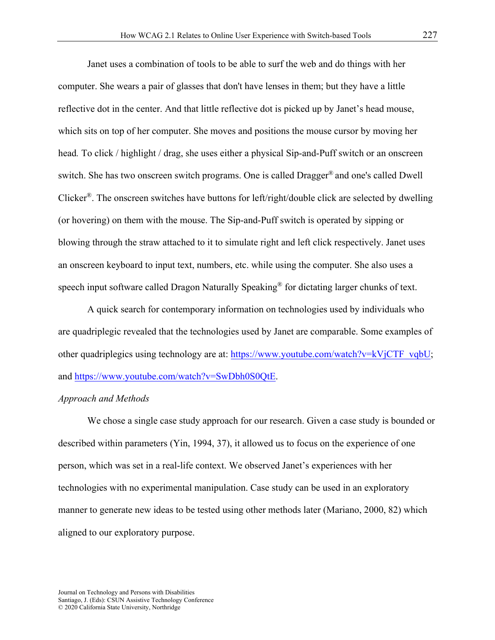Janet uses a combination of tools to be able to surf the web and do things with her computer. She wears a pair of glasses that don't have lenses in them; but they have a little reflective dot in the center. And that little reflective dot is picked up by Janet's head mouse, which sits on top of her computer. She moves and positions the mouse cursor by moving her head*.* To click / highlight / drag, she uses either a physical Sip-and-Puff switch or an onscreen switch. She has two onscreen switch programs. One is called Dragger® and one's called Dwell Clicker<sup>®</sup>. The onscreen switches have buttons for left/right/double click are selected by dwelling (or hovering) on them with the mouse. The Sip-and-Puff switch is operated by sipping or blowing through the straw attached to it to simulate right and left click respectively. Janet uses an onscreen keyboard to input text, numbers, etc. while using the computer. She also uses a speech input software called Dragon Naturally Speaking<sup>®</sup> for dictating larger chunks of text.

A quick search for contemporary information on technologies used by individuals who are quadriplegic revealed that the technologies used by Janet are comparable. Some examples of other quadriplegics using technology are at: [https://www.youtube.com/watch?v=kVjCTF\\_vqbU;](https://www.youtube.com/watch?v=kVjCTF_vqbU) and [https://www.youtube.com/watch?v=SwDbh0S0QtE.](https://www.youtube.com/watch?v=SwDbh0S0QtE)

#### *Approach and Methods*

We chose a single case study approach for our research. Given a case study is bounded or described within parameters (Yin, 1994, 37), it allowed us to focus on the experience of one person, which was set in a real-life context. We observed Janet's experiences with her technologies with no experimental manipulation. Case study can be used in an exploratory manner to generate new ideas to be tested using other methods later (Mariano, 2000, 82) which aligned to our exploratory purpose.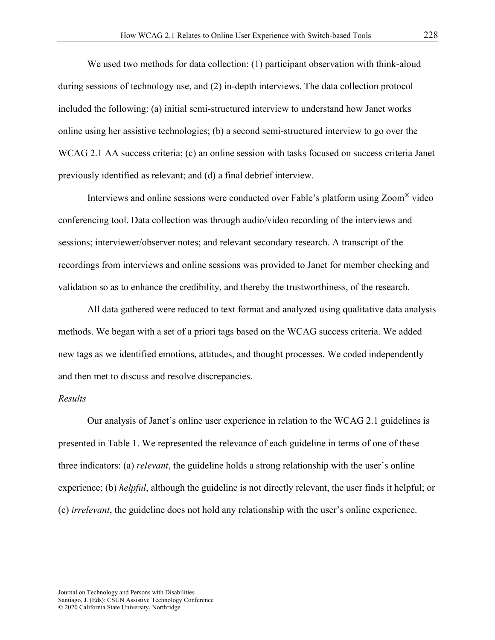We used two methods for data collection: (1) participant observation with think-aloud during sessions of technology use, and (2) in-depth interviews. The data collection protocol included the following: (a) initial semi-structured interview to understand how Janet works online using her assistive technologies; (b) a second semi-structured interview to go over the WCAG 2.1 AA success criteria; (c) an online session with tasks focused on success criteria Janet previously identified as relevant; and (d) a final debrief interview.

Interviews and online sessions were conducted over Fable's platform using Zoom® video conferencing tool. Data collection was through audio/video recording of the interviews and sessions; interviewer/observer notes; and relevant secondary research. A transcript of the recordings from interviews and online sessions was provided to Janet for member checking and validation so as to enhance the credibility, and thereby the trustworthiness, of the research.

All data gathered were reduced to text format and analyzed using qualitative data analysis methods. We began with a set of a priori tags based on the WCAG success criteria. We added new tags as we identified emotions, attitudes, and thought processes. We coded independently and then met to discuss and resolve discrepancies.

#### *Results*

Our analysis of Janet's online user experience in relation to the WCAG 2.1 guidelines is presented in Table 1. We represented the relevance of each guideline in terms of one of these three indicators: (a) *relevant*, the guideline holds a strong relationship with the user's online experience; (b) *helpful*, although the guideline is not directly relevant, the user finds it helpful; or (c) *irrelevant*, the guideline does not hold any relationship with the user's online experience.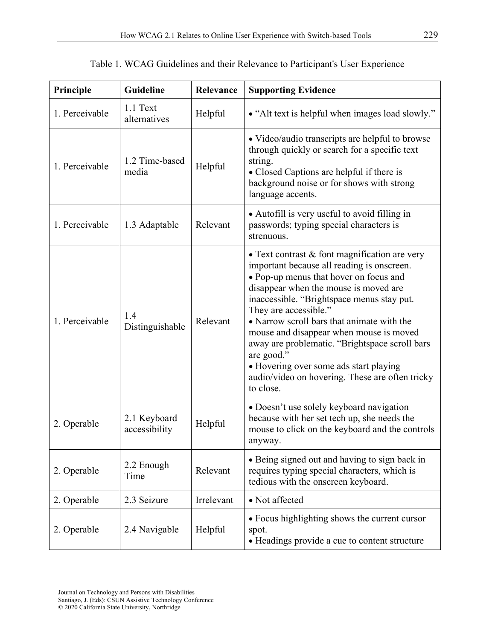| Principle      | Guideline<br>Relevance        |            | <b>Supporting Evidence</b>                                                                                                                                                                                                                                                                                                                                                                                                                                                                                                 |  |
|----------------|-------------------------------|------------|----------------------------------------------------------------------------------------------------------------------------------------------------------------------------------------------------------------------------------------------------------------------------------------------------------------------------------------------------------------------------------------------------------------------------------------------------------------------------------------------------------------------------|--|
| 1. Perceivable | 1.1 Text<br>alternatives      | Helpful    | • "Alt text is helpful when images load slowly."                                                                                                                                                                                                                                                                                                                                                                                                                                                                           |  |
| 1. Perceivable | 1.2 Time-based<br>media       | Helpful    | • Video/audio transcripts are helpful to browse<br>through quickly or search for a specific text<br>string.<br>• Closed Captions are helpful if there is<br>background noise or for shows with strong<br>language accents.                                                                                                                                                                                                                                                                                                 |  |
| 1. Perceivable | 1.3 Adaptable                 | Relevant   | • Autofill is very useful to avoid filling in<br>passwords; typing special characters is<br>strenuous.                                                                                                                                                                                                                                                                                                                                                                                                                     |  |
| 1. Perceivable | 1.4<br>Distinguishable        | Relevant   | • Text contrast $&$ font magnification are very<br>important because all reading is onscreen.<br>• Pop-up menus that hover on focus and<br>disappear when the mouse is moved are<br>inaccessible. "Brightspace menus stay put.<br>They are accessible."<br>• Narrow scroll bars that animate with the<br>mouse and disappear when mouse is moved<br>away are problematic. "Brightspace scroll bars<br>are good."<br>• Hovering over some ads start playing<br>audio/video on hovering. These are often tricky<br>to close. |  |
| 2. Operable    | 2.1 Keyboard<br>accessibility | Helpful    | • Doesn't use solely keyboard navigation<br>because with her set tech up, she needs the<br>mouse to click on the keyboard and the controls<br>anyway.                                                                                                                                                                                                                                                                                                                                                                      |  |
| 2. Operable    | 2.2 Enough<br>Time            | Relevant   | • Being signed out and having to sign back in<br>requires typing special characters, which is<br>tedious with the onscreen keyboard.                                                                                                                                                                                                                                                                                                                                                                                       |  |
| 2. Operable    | 2.3 Seizure                   | Irrelevant | • Not affected                                                                                                                                                                                                                                                                                                                                                                                                                                                                                                             |  |
| 2. Operable    | 2.4 Navigable                 | Helpful    | • Focus highlighting shows the current cursor<br>spot.<br>• Headings provide a cue to content structure                                                                                                                                                                                                                                                                                                                                                                                                                    |  |

Table 1. WCAG Guidelines and their Relevance to Participant's User Experience

© 2020 California State University, Northridge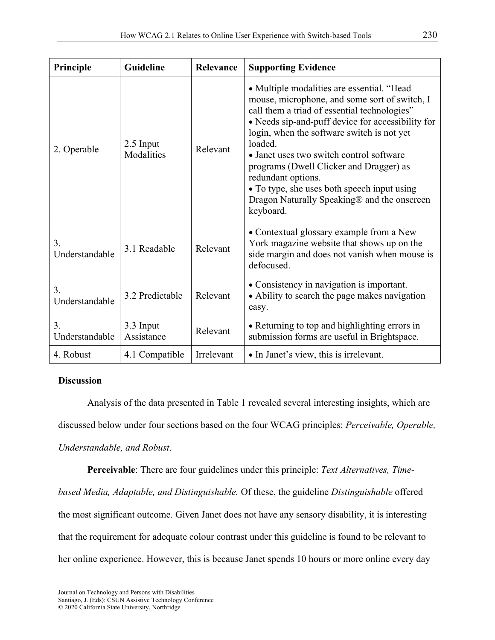| Principle            | Guideline               | Relevance  | <b>Supporting Evidence</b>                                                                                                                                                                                                                                                                                                                                                                                                                                                        |
|----------------------|-------------------------|------------|-----------------------------------------------------------------------------------------------------------------------------------------------------------------------------------------------------------------------------------------------------------------------------------------------------------------------------------------------------------------------------------------------------------------------------------------------------------------------------------|
| 2. Operable          | 2.5 Input<br>Modalities | Relevant   | • Multiple modalities are essential. "Head<br>mouse, microphone, and some sort of switch, I<br>call them a triad of essential technologies"<br>• Needs sip-and-puff device for accessibility for<br>login, when the software switch is not yet<br>loaded.<br>• Janet uses two switch control software<br>programs (Dwell Clicker and Dragger) as<br>redundant options.<br>• To type, she uses both speech input using<br>Dragon Naturally Speaking® and the onscreen<br>keyboard. |
| 3.<br>Understandable | 3.1 Readable            | Relevant   | • Contextual glossary example from a New<br>York magazine website that shows up on the<br>side margin and does not vanish when mouse is<br>defocused.                                                                                                                                                                                                                                                                                                                             |
| 3.<br>Understandable | 3.2 Predictable         | Relevant   | • Consistency in navigation is important.<br>• Ability to search the page makes navigation<br>easy.                                                                                                                                                                                                                                                                                                                                                                               |
| 3.<br>Understandable | 3.3 Input<br>Assistance | Relevant   | • Returning to top and highlighting errors in<br>submission forms are useful in Brightspace.                                                                                                                                                                                                                                                                                                                                                                                      |
| 4. Robust            | 4.1 Compatible          | Irrelevant | • In Janet's view, this is irrelevant.                                                                                                                                                                                                                                                                                                                                                                                                                                            |

# **Discussion**

Analysis of the data presented in Table 1 revealed several interesting insights, which are discussed below under four sections based on the four WCAG principles: *Perceivable, Operable, Understandable, and Robust*.

**Perceivable**: There are four guidelines under this principle: *Text Alternatives, Timebased Media, Adaptable, and Distinguishable.* Of these, the guideline *Distinguishable* offered

the most significant outcome. Given Janet does not have any sensory disability, it is interesting that the requirement for adequate colour contrast under this guideline is found to be relevant to her online experience. However, this is because Janet spends 10 hours or more online every day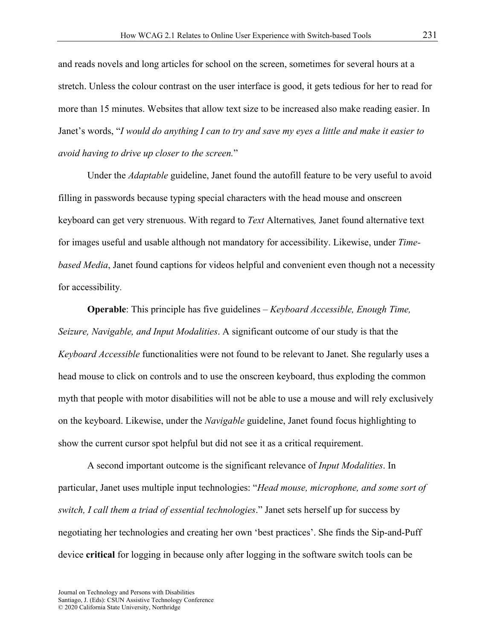and reads novels and long articles for school on the screen, sometimes for several hours at a stretch. Unless the colour contrast on the user interface is good, it gets tedious for her to read for more than 15 minutes. Websites that allow text size to be increased also make reading easier. In Janet's words, "*I would do anything I can to try and save my eyes a little and make it easier to avoid having to drive up closer to the screen.*"

Under the *Adaptable* guideline, Janet found the autofill feature to be very useful to avoid filling in passwords because typing special characters with the head mouse and onscreen keyboard can get very strenuous. With regard to *Text* Alternatives*,* Janet found alternative text for images useful and usable although not mandatory for accessibility. Likewise, under *Timebased Media*, Janet found captions for videos helpful and convenient even though not a necessity for accessibility*.*

**Operable**: This principle has five guidelines – *Keyboard Accessible, Enough Time, Seizure, Navigable, and Input Modalities*. A significant outcome of our study is that the *Keyboard Accessible* functionalities were not found to be relevant to Janet. She regularly uses a head mouse to click on controls and to use the onscreen keyboard, thus exploding the common myth that people with motor disabilities will not be able to use a mouse and will rely exclusively on the keyboard. Likewise, under the *Navigable* guideline, Janet found focus highlighting to show the current cursor spot helpful but did not see it as a critical requirement.

A second important outcome is the significant relevance of *Input Modalities*. In particular, Janet uses multiple input technologies: "*Head mouse, microphone, and some sort of switch, I call them a triad of essential technologies*." Janet sets herself up for success by negotiating her technologies and creating her own 'best practices'. She finds the Sip-and-Puff device **critical** for logging in because only after logging in the software switch tools can be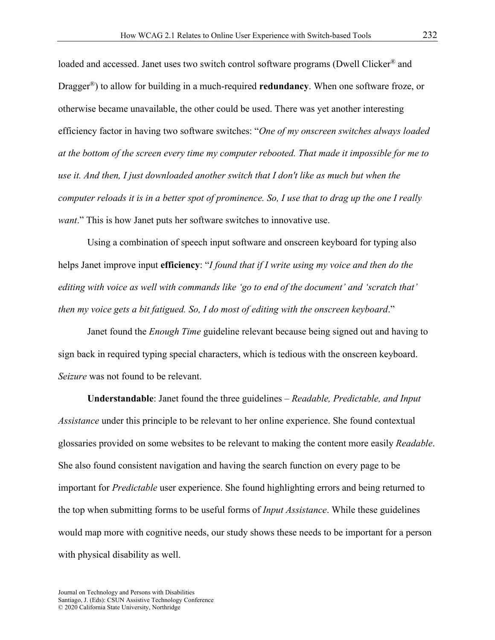loaded and accessed. Janet uses two switch control software programs (Dwell Clicker<sup>®</sup> and Dragger®) to allow for building in a much-required **redundancy**. When one software froze, or otherwise became unavailable, the other could be used. There was yet another interesting efficiency factor in having two software switches: "*One of my onscreen switches always loaded at the bottom of the screen every time my computer rebooted. That made it impossible for me to use it. And then, I just downloaded another switch that I don't like as much but when the computer reloads it is in a better spot of prominence. So, I use that to drag up the one I really want*." This is how Janet puts her software switches to innovative use.

Using a combination of speech input software and onscreen keyboard for typing also helps Janet improve input **efficiency**: "*I found that if I write using my voice and then do the editing with voice as well with commands like 'go to end of the document' and 'scratch that' then my voice gets a bit fatigued. So, I do most of editing with the onscreen keyboard*."

Janet found the *Enough Time* guideline relevant because being signed out and having to sign back in required typing special characters, which is tedious with the onscreen keyboard. *Seizure* was not found to be relevant.

**Understandable**: Janet found the three guidelines – *Readable, Predictable, and Input Assistance* under this principle to be relevant to her online experience. She found contextual glossaries provided on some websites to be relevant to making the content more easily *Readable*. She also found consistent navigation and having the search function on every page to be important for *Predictable* user experience. She found highlighting errors and being returned to the top when submitting forms to be useful forms of *Input Assistance*. While these guidelines would map more with cognitive needs, our study shows these needs to be important for a person with physical disability as well.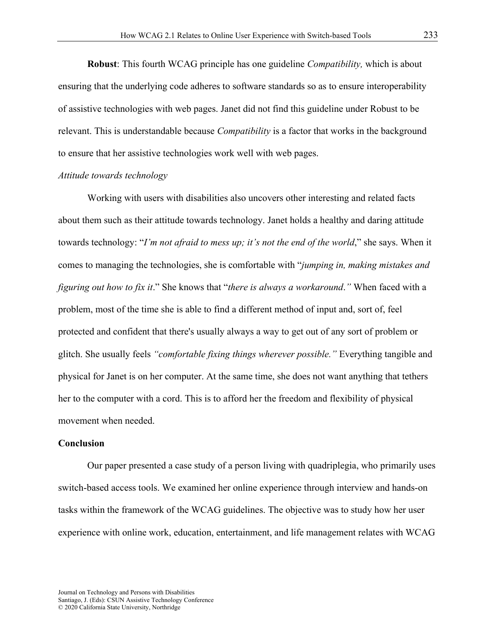**Robust**: This fourth WCAG principle has one guideline *Compatibility,* which is about ensuring that the underlying code adheres to software standards so as to ensure interoperability of assistive technologies with web pages. Janet did not find this guideline under Robust to be relevant. This is understandable because *Compatibility* is a factor that works in the background to ensure that her assistive technologies work well with web pages.

#### *Attitude towards technology*

Working with users with disabilities also uncovers other interesting and related facts about them such as their attitude towards technology. Janet holds a healthy and daring attitude towards technology: "*I'm not afraid to mess up; it's not the end of the world*," she says. When it comes to managing the technologies, she is comfortable with "*jumping in, making mistakes and figuring out how to fix it*." She knows that "*there is always a workaround*.*"* When faced with a problem, most of the time she is able to find a different method of input and, sort of, feel protected and confident that there's usually always a way to get out of any sort of problem or glitch. She usually feels *"comfortable fixing things wherever possible."* Everything tangible and physical for Janet is on her computer. At the same time, she does not want anything that tethers her to the computer with a cord. This is to afford her the freedom and flexibility of physical movement when needed.

#### **Conclusion**

Our paper presented a case study of a person living with quadriplegia, who primarily uses switch-based access tools. We examined her online experience through interview and hands-on tasks within the framework of the WCAG guidelines. The objective was to study how her user experience with online work, education, entertainment, and life management relates with WCAG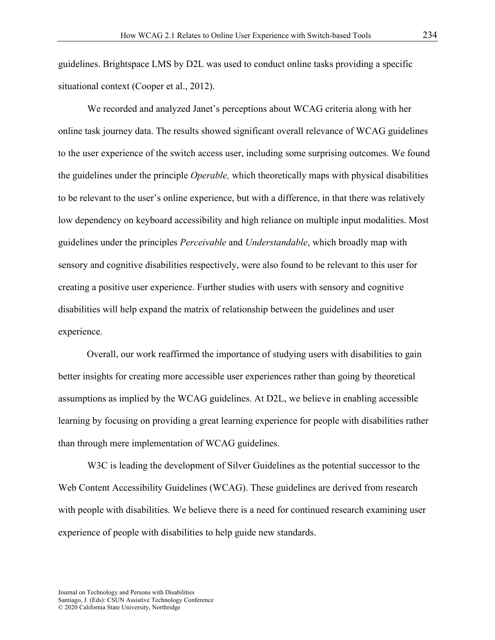guidelines. Brightspace LMS by D2L was used to conduct online tasks providing a specific situational context (Cooper et al., 2012).

We recorded and analyzed Janet's perceptions about WCAG criteria along with her online task journey data. The results showed significant overall relevance of WCAG guidelines to the user experience of the switch access user, including some surprising outcomes. We found the guidelines under the principle *Operable,* which theoretically maps with physical disabilities to be relevant to the user's online experience, but with a difference, in that there was relatively low dependency on keyboard accessibility and high reliance on multiple input modalities. Most guidelines under the principles *Perceivable* and *Understandable*, which broadly map with sensory and cognitive disabilities respectively, were also found to be relevant to this user for creating a positive user experience. Further studies with users with sensory and cognitive disabilities will help expand the matrix of relationship between the guidelines and user experience.

Overall, our work reaffirmed the importance of studying users with disabilities to gain better insights for creating more accessible user experiences rather than going by theoretical assumptions as implied by the WCAG guidelines. At D2L, we believe in enabling accessible learning by focusing on providing a great learning experience for people with disabilities rather than through mere implementation of WCAG guidelines.

W3C is leading the development of Silver Guidelines as the potential successor to the Web Content Accessibility Guidelines (WCAG). These guidelines are derived from research with people with disabilities. We believe there is a need for continued research examining user experience of people with disabilities to help guide new standards.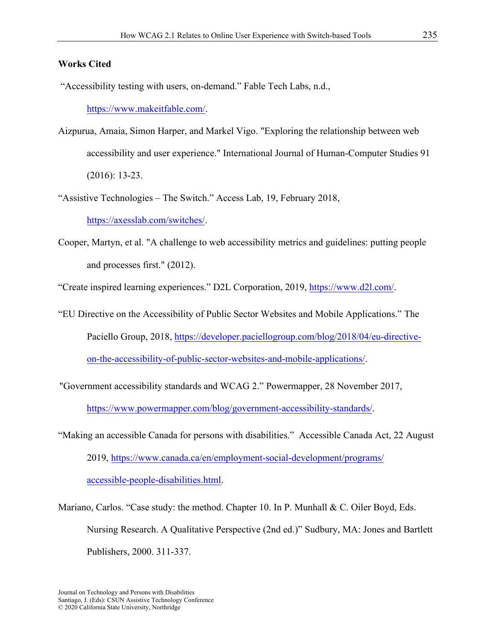# **Works Cited**

"Accessibility testing with users, on-demand." Fable Tech Labs, n.d.,

[https://www.makeitfable.com/.](https://www.makeitfable.com/)

- Aizpurua, Amaia, Simon Harper, and Markel Vigo. "Exploring the relationship between web accessibility and user experience." International Journal of Human-Computer Studies 91 (2016): 13-23.
- "Assistive Technologies The Switch." Access Lab, 19, February 2018, [https://axesslab.com/switches/.](https://axesslab.com/switches/)
- Cooper, Martyn, et al. "A challenge to web accessibility metrics and guidelines: putting people and processes first." (2012).

"Create inspired learning experiences." D2L Corporation, 2019, [https://www.d2l.com/.](https://www.d2l.com/)

"EU Directive on the Accessibility of Public Sector Websites and Mobile Applications." The Paciello Group, 2018, [https://developer.paciellogroup.com/blog/2018/04/eu-directive](https://developer.paciellogroup.com/blog/2018/04/eu-directive-on-the-accessibility-of-public-sector-websites-and-mobile-applications/)on-the-accessibility-of-public-sector-websites-and-mobile-applications/.

"Government accessibility standards and WCAG 2." Powermapper, 28 November 2017,

[https://www.powermapper.com/blog/government-accessibility-standards/.](https://www.powermapper.com/blog/government-accessibility-standards/)

- "Making an accessible Canada for persons with disabilities." Accessible Canada Act, 22 August 2019, [https://www.canada.ca/en/employment-social-development/programs/](https://www.canada.ca/en/employment-social-development/programs/accessible-people-disabilities.html) accessible-people-disabilities.html.
- Mariano, Carlos. "Case study: the method. Chapter 10. In P. Munhall & C. Oiler Boyd, Eds. Nursing Research. A Qualitative Perspective (2nd ed.)" Sudbury, MA: Jones and Bartlett Publishers, 2000. 311-337.